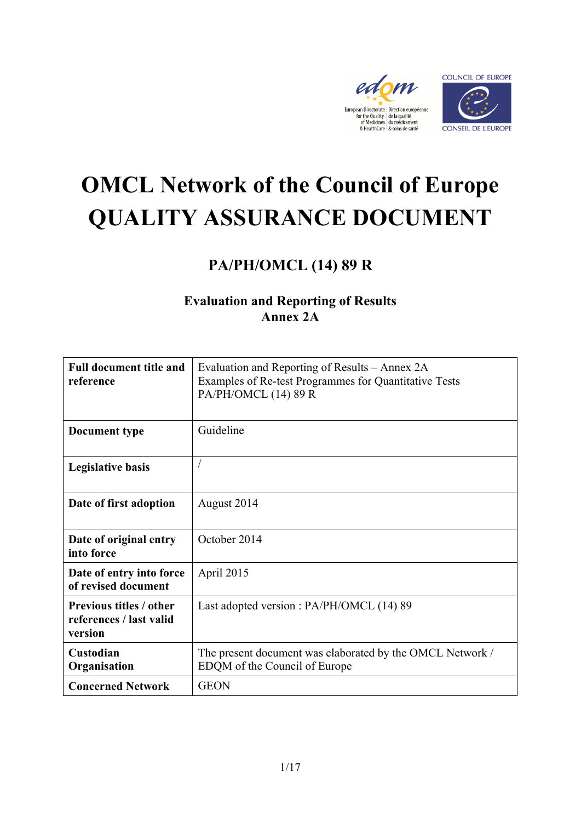



# **OMCL Network of the Council of Europe QUALITY ASSURANCE DOCUMENT**

## **PA/PH/OMCL (14) 89 R**

### **Evaluation and Reporting of Results Annex 2A**

| <b>Full document title and</b><br>reference                          | Evaluation and Reporting of Results – Annex 2A<br>Examples of Re-test Programmes for Quantitative Tests<br>PA/PH/OMCL (14) 89 R |
|----------------------------------------------------------------------|---------------------------------------------------------------------------------------------------------------------------------|
| Document type                                                        | Guideline                                                                                                                       |
| <b>Legislative basis</b>                                             |                                                                                                                                 |
| Date of first adoption                                               | August 2014                                                                                                                     |
| Date of original entry<br>into force                                 | October 2014                                                                                                                    |
| Date of entry into force<br>of revised document                      | April 2015                                                                                                                      |
| <b>Previous titles / other</b><br>references / last valid<br>version | Last adopted version : PA/PH/OMCL (14) 89                                                                                       |
| Custodian<br>Organisation                                            | The present document was elaborated by the OMCL Network /<br>EDQM of the Council of Europe                                      |
| <b>Concerned Network</b>                                             | <b>GEON</b>                                                                                                                     |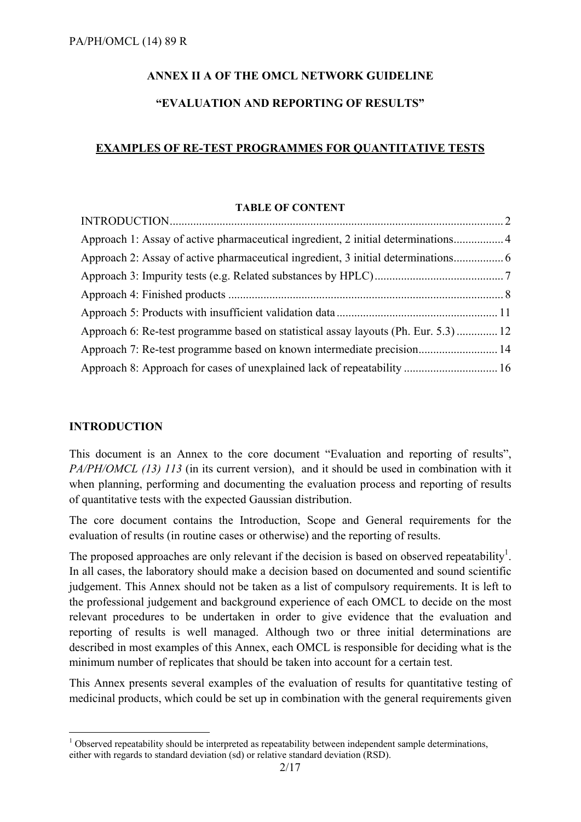#### **ANNEX II A OF THE OMCL NETWORK GUIDELINE**

#### **"EVALUATION AND REPORTING OF RESULTS"**

#### **EXAMPLES OF RE-TEST PROGRAMMES FOR QUANTITATIVE TESTS**

#### **TABLE OF CONTENT**

| Approach 1: Assay of active pharmaceutical ingredient, 2 initial determinations 4   |  |
|-------------------------------------------------------------------------------------|--|
|                                                                                     |  |
|                                                                                     |  |
|                                                                                     |  |
|                                                                                     |  |
| Approach 6: Re-test programme based on statistical assay layouts (Ph. Eur. 5.3)  12 |  |
| Approach 7: Re-test programme based on known intermediate precision 14              |  |
|                                                                                     |  |

#### **INTRODUCTION**

1

This document is an Annex to the core document "Evaluation and reporting of results", *PA/PH/OMCL (13) 113* (in its current version), and it should be used in combination with it when planning, performing and documenting the evaluation process and reporting of results of quantitative tests with the expected Gaussian distribution.

The core document contains the Introduction, Scope and General requirements for the evaluation of results (in routine cases or otherwise) and the reporting of results.

The proposed approaches are only relevant if the decision is based on observed repeatability<sup>1</sup>. In all cases, the laboratory should make a decision based on documented and sound scientific judgement. This Annex should not be taken as a list of compulsory requirements. It is left to the professional judgement and background experience of each OMCL to decide on the most relevant procedures to be undertaken in order to give evidence that the evaluation and reporting of results is well managed. Although two or three initial determinations are described in most examples of this Annex, each OMCL is responsible for deciding what is the minimum number of replicates that should be taken into account for a certain test.

This Annex presents several examples of the evaluation of results for quantitative testing of medicinal products, which could be set up in combination with the general requirements given

 $1$  Observed repeatability should be interpreted as repeatability between independent sample determinations, either with regards to standard deviation (sd) or relative standard deviation (RSD).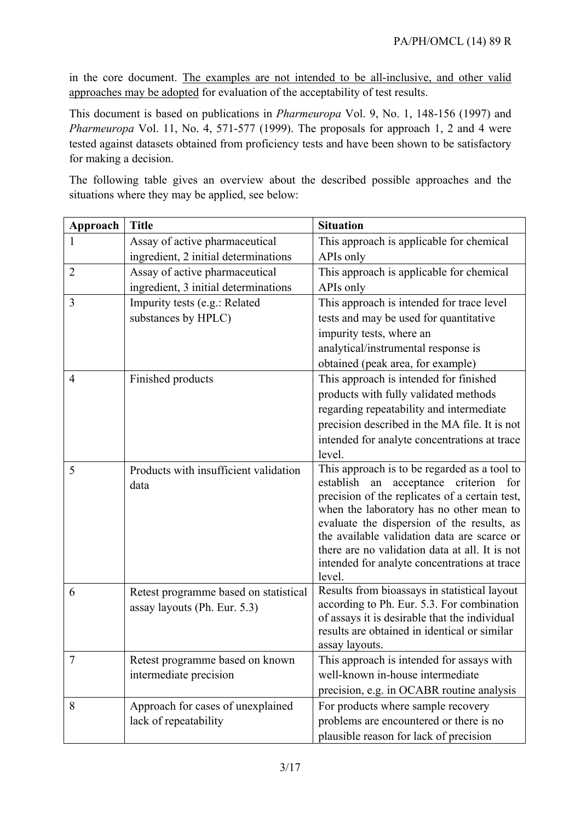in the core document. The examples are not intended to be all-inclusive, and other valid approaches may be adopted for evaluation of the acceptability of test results.

This document is based on publications in *Pharmeuropa* Vol. 9, No. 1, 148-156 (1997) and *Pharmeuropa* Vol. 11, No. 4, 571-577 (1999). The proposals for approach 1, 2 and 4 were tested against datasets obtained from proficiency tests and have been shown to be satisfactory for making a decision.

The following table gives an overview about the described possible approaches and the situations where they may be applied, see below:

| Approach       | <b>Title</b>                                                          | <b>Situation</b>                                                                                                                                                                                                                                                                                                                                                                                   |
|----------------|-----------------------------------------------------------------------|----------------------------------------------------------------------------------------------------------------------------------------------------------------------------------------------------------------------------------------------------------------------------------------------------------------------------------------------------------------------------------------------------|
| 1              | Assay of active pharmaceutical                                        | This approach is applicable for chemical                                                                                                                                                                                                                                                                                                                                                           |
|                | ingredient, 2 initial determinations                                  | APIs only                                                                                                                                                                                                                                                                                                                                                                                          |
| $\overline{2}$ | Assay of active pharmaceutical                                        | This approach is applicable for chemical                                                                                                                                                                                                                                                                                                                                                           |
|                | ingredient, 3 initial determinations                                  | APIs only                                                                                                                                                                                                                                                                                                                                                                                          |
| 3              | Impurity tests (e.g.: Related                                         | This approach is intended for trace level                                                                                                                                                                                                                                                                                                                                                          |
|                | substances by HPLC)                                                   | tests and may be used for quantitative                                                                                                                                                                                                                                                                                                                                                             |
|                |                                                                       | impurity tests, where an                                                                                                                                                                                                                                                                                                                                                                           |
|                |                                                                       | analytical/instrumental response is                                                                                                                                                                                                                                                                                                                                                                |
|                |                                                                       | obtained (peak area, for example)                                                                                                                                                                                                                                                                                                                                                                  |
| $\overline{4}$ | Finished products                                                     | This approach is intended for finished                                                                                                                                                                                                                                                                                                                                                             |
|                |                                                                       | products with fully validated methods                                                                                                                                                                                                                                                                                                                                                              |
|                |                                                                       | regarding repeatability and intermediate                                                                                                                                                                                                                                                                                                                                                           |
|                |                                                                       | precision described in the MA file. It is not                                                                                                                                                                                                                                                                                                                                                      |
|                |                                                                       | intended for analyte concentrations at trace                                                                                                                                                                                                                                                                                                                                                       |
|                |                                                                       | level.                                                                                                                                                                                                                                                                                                                                                                                             |
| 5              | Products with insufficient validation<br>data                         | This approach is to be regarded as a tool to<br>establish<br>an acceptance criterion<br>for<br>precision of the replicates of a certain test,<br>when the laboratory has no other mean to<br>evaluate the dispersion of the results, as<br>the available validation data are scarce or<br>there are no validation data at all. It is not<br>intended for analyte concentrations at trace<br>level. |
| 6              | Retest programme based on statistical<br>assay layouts (Ph. Eur. 5.3) | Results from bioassays in statistical layout<br>according to Ph. Eur. 5.3. For combination<br>of assays it is desirable that the individual<br>results are obtained in identical or similar<br>assay layouts.                                                                                                                                                                                      |
| 7              | Retest programme based on known                                       | This approach is intended for assays with                                                                                                                                                                                                                                                                                                                                                          |
|                | intermediate precision                                                | well-known in-house intermediate                                                                                                                                                                                                                                                                                                                                                                   |
|                |                                                                       | precision, e.g. in OCABR routine analysis                                                                                                                                                                                                                                                                                                                                                          |
| 8              | Approach for cases of unexplained                                     | For products where sample recovery                                                                                                                                                                                                                                                                                                                                                                 |
|                | lack of repeatability                                                 | problems are encountered or there is no                                                                                                                                                                                                                                                                                                                                                            |
|                |                                                                       | plausible reason for lack of precision                                                                                                                                                                                                                                                                                                                                                             |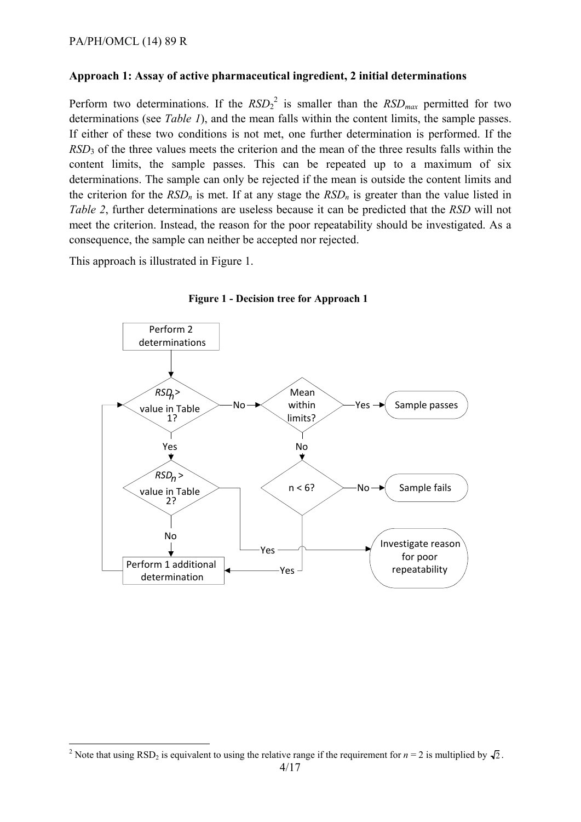#### **Approach 1: Assay of active pharmaceutical ingredient, 2 initial determinations**

Perform two determinations. If the  $RSD<sub>2</sub><sup>2</sup>$  is smaller than the  $RSD<sub>max</sub>$  permitted for two determinations (see *Table 1*), and the mean falls within the content limits, the sample passes. If either of these two conditions is not met, one further determination is performed. If the *RSD*3 of the three values meets the criterion and the mean of the three results falls within the content limits, the sample passes. This can be repeated up to a maximum of six determinations. The sample can only be rejected if the mean is outside the content limits and the criterion for the  $RSD_n$  is met. If at any stage the  $RSD_n$  is greater than the value listed in *Table 2*, further determinations are useless because it can be predicted that the *RSD* will not meet the criterion. Instead, the reason for the poor repeatability should be investigated. As a consequence, the sample can neither be accepted nor rejected.

This approach is illustrated in Figure 1.

<u>.</u>



**Figure 1 - Decision tree for Approach 1**

<sup>&</sup>lt;sup>2</sup> Note that using RSD<sub>2</sub> is equivalent to using the relative range if the requirement for  $n = 2$  is multiplied by  $\sqrt{2}$ .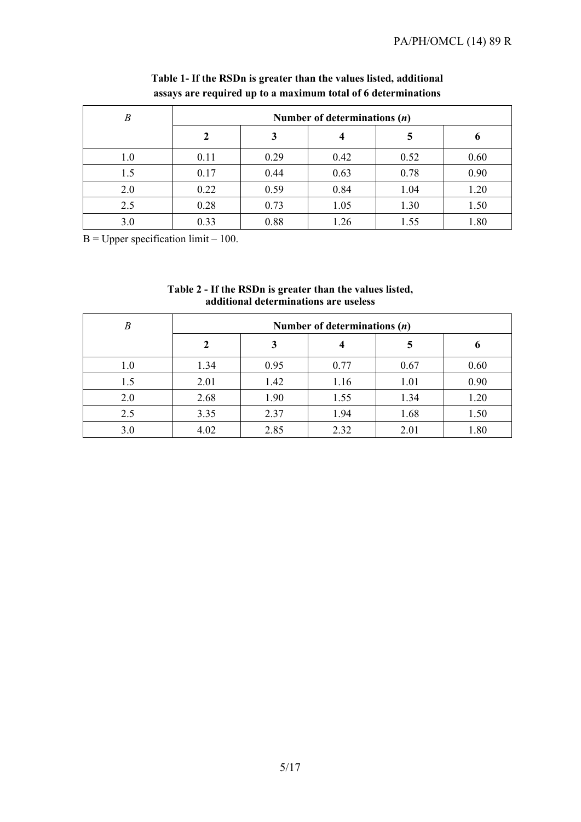| B       | Number of determinations $(n)$ |      |      |      |      |
|---------|--------------------------------|------|------|------|------|
|         |                                |      |      |      | o    |
| $1.0\,$ | 0.11                           | 0.29 | 0.42 | 0.52 | 0.60 |
| 1.5     | 0.17                           | 0.44 | 0.63 | 0.78 | 0.90 |
| 2.0     | 0.22                           | 0.59 | 0.84 | 1.04 | 1.20 |
| 2.5     | 0.28                           | 0.73 | 1.05 | 1.30 | 1.50 |
| 3.0     | 0.33                           | 0.88 | 1.26 | 1.55 | 1.80 |

#### **Table 1- If the RSDn is greater than the values listed, additional assays are required up to a maximum total of 6 determinations**

 $B = Upper specification limit - 100.$ 

| Table 2 - If the RSDn is greater than the values listed, |
|----------------------------------------------------------|
| additional determinations are useless                    |

| B   | Number of determinations $(n)$ |      |      |      |      |
|-----|--------------------------------|------|------|------|------|
|     |                                | 3    | 4    |      |      |
| 1.0 | 1.34                           | 0.95 | 0.77 | 0.67 | 0.60 |
| 1.5 | 2.01                           | 1.42 | 1.16 | 1.01 | 0.90 |
| 2.0 | 2.68                           | 1.90 | 1.55 | 1.34 | 1.20 |
| 2.5 | 3.35                           | 2.37 | 1.94 | 1.68 | 1.50 |
| 3.0 | 4.02                           | 2.85 | 2.32 | 2.01 | 1.80 |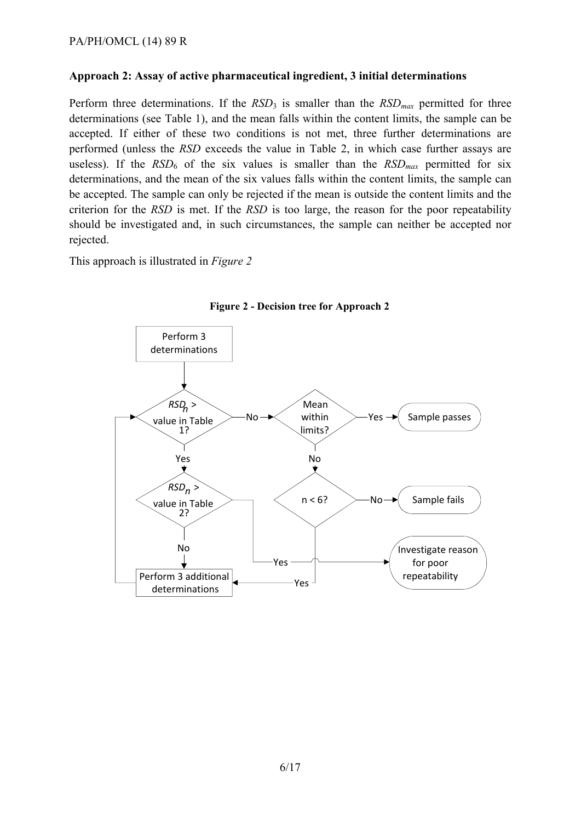#### **Approach 2: Assay of active pharmaceutical ingredient, 3 initial determinations**

Perform three determinations. If the  $RSD_3$  is smaller than the  $RSD_{max}$  permitted for three determinations (see Table 1), and the mean falls within the content limits, the sample can be accepted. If either of these two conditions is not met, three further determinations are performed (unless the *RSD* exceeds the value in Table 2, in which case further assays are useless). If the  $RSD<sub>6</sub>$  of the six values is smaller than the  $RSD<sub>max</sub>$  permitted for six determinations, and the mean of the six values falls within the content limits, the sample can be accepted. The sample can only be rejected if the mean is outside the content limits and the criterion for the *RSD* is met. If the *RSD* is too large, the reason for the poor repeatability should be investigated and, in such circumstances, the sample can neither be accepted nor rejected.

This approach is illustrated in *Figure 2* 



**Figure 2 - Decision tree for Approach 2**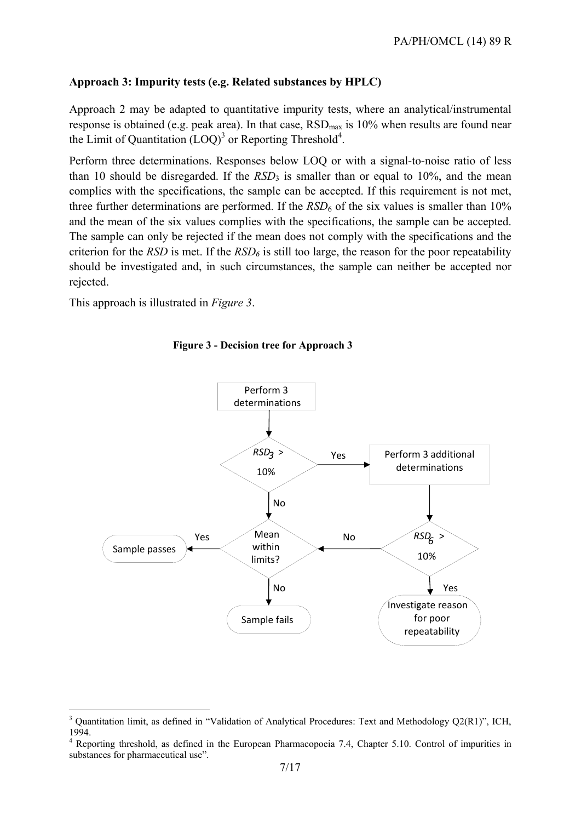#### **Approach 3: Impurity tests (e.g. Related substances by HPLC)**

Approach 2 may be adapted to quantitative impurity tests, where an analytical/instrumental response is obtained (e.g. peak area). In that case,  $RSD<sub>max</sub>$  is 10% when results are found near the Limit of Quantitation  $(LOQ)^3$  or Reporting Threshold<sup>4</sup>.

Perform three determinations. Responses below LOQ or with a signal-to-noise ratio of less than 10 should be disregarded. If the  $RSD<sub>3</sub>$  is smaller than or equal to 10%, and the mean complies with the specifications, the sample can be accepted. If this requirement is not met, three further determinations are performed. If the  $RSD<sub>6</sub>$  of the six values is smaller than 10% and the mean of the six values complies with the specifications, the sample can be accepted. The sample can only be rejected if the mean does not comply with the specifications and the criterion for the *RSD* is met. If the  $RSD<sub>6</sub>$  is still too large, the reason for the poor repeatability should be investigated and, in such circumstances, the sample can neither be accepted nor rejected.

This approach is illustrated in *Figure 3*.

<u>.</u>





<sup>&</sup>lt;sup>3</sup> Quantitation limit, as defined in "Validation of Analytical Procedures: Text and Methodology Q2(R1)", ICH, 1994.

<sup>4</sup> Reporting threshold, as defined in the European Pharmacopoeia 7.4, Chapter 5.10. Control of impurities in substances for pharmaceutical use".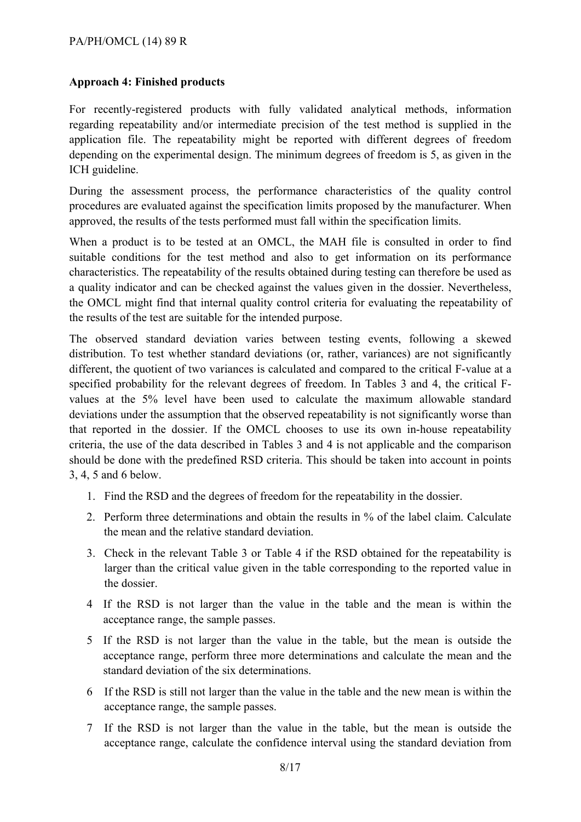#### **Approach 4: Finished products**

For recently-registered products with fully validated analytical methods, information regarding repeatability and/or intermediate precision of the test method is supplied in the application file. The repeatability might be reported with different degrees of freedom depending on the experimental design. The minimum degrees of freedom is 5, as given in the ICH guideline.

During the assessment process, the performance characteristics of the quality control procedures are evaluated against the specification limits proposed by the manufacturer. When approved, the results of the tests performed must fall within the specification limits.

When a product is to be tested at an OMCL, the MAH file is consulted in order to find suitable conditions for the test method and also to get information on its performance characteristics. The repeatability of the results obtained during testing can therefore be used as a quality indicator and can be checked against the values given in the dossier. Nevertheless, the OMCL might find that internal quality control criteria for evaluating the repeatability of the results of the test are suitable for the intended purpose.

The observed standard deviation varies between testing events, following a skewed distribution. To test whether standard deviations (or, rather, variances) are not significantly different, the quotient of two variances is calculated and compared to the critical F-value at a specified probability for the relevant degrees of freedom. In Tables 3 and 4, the critical Fvalues at the 5% level have been used to calculate the maximum allowable standard deviations under the assumption that the observed repeatability is not significantly worse than that reported in the dossier. If the OMCL chooses to use its own in-house repeatability criteria, the use of the data described in Tables 3 and 4 is not applicable and the comparison should be done with the predefined RSD criteria. This should be taken into account in points 3, 4, 5 and 6 below.

- 1. Find the RSD and the degrees of freedom for the repeatability in the dossier.
- 2. Perform three determinations and obtain the results in % of the label claim. Calculate the mean and the relative standard deviation.
- 3. Check in the relevant Table 3 or Table 4 if the RSD obtained for the repeatability is larger than the critical value given in the table corresponding to the reported value in the dossier.
- 4 If the RSD is not larger than the value in the table and the mean is within the acceptance range, the sample passes.
- 5 If the RSD is not larger than the value in the table, but the mean is outside the acceptance range, perform three more determinations and calculate the mean and the standard deviation of the six determinations.
- 6 If the RSD is still not larger than the value in the table and the new mean is within the acceptance range, the sample passes.
- 7 If the RSD is not larger than the value in the table, but the mean is outside the acceptance range, calculate the confidence interval using the standard deviation from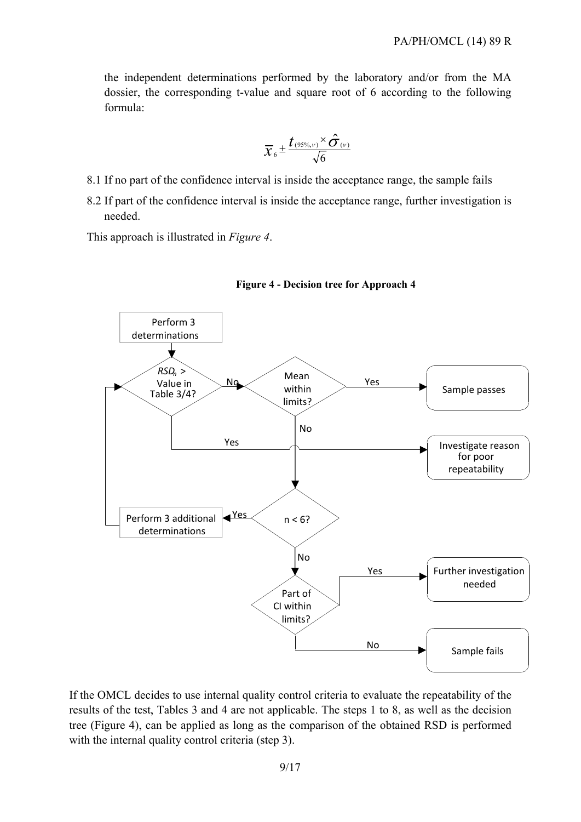the independent determinations performed by the laboratory and/or from the MA dossier, the corresponding t-value and square root of 6 according to the following formula:

$$
\overline{\chi}_{6} \pm \frac{t_{(95\%, v)} \times \hat{\sigma}_{(v)}}{\sqrt{6}}
$$

- 8.1 If no part of the confidence interval is inside the acceptance range, the sample fails
- 8.2 If part of the confidence interval is inside the acceptance range, further investigation is needed.

This approach is illustrated in *Figure 4*.





If the OMCL decides to use internal quality control criteria to evaluate the repeatability of the results of the test, Tables 3 and 4 are not applicable. The steps 1 to 8, as well as the decision tree (Figure 4), can be applied as long as the comparison of the obtained RSD is performed with the internal quality control criteria (step 3).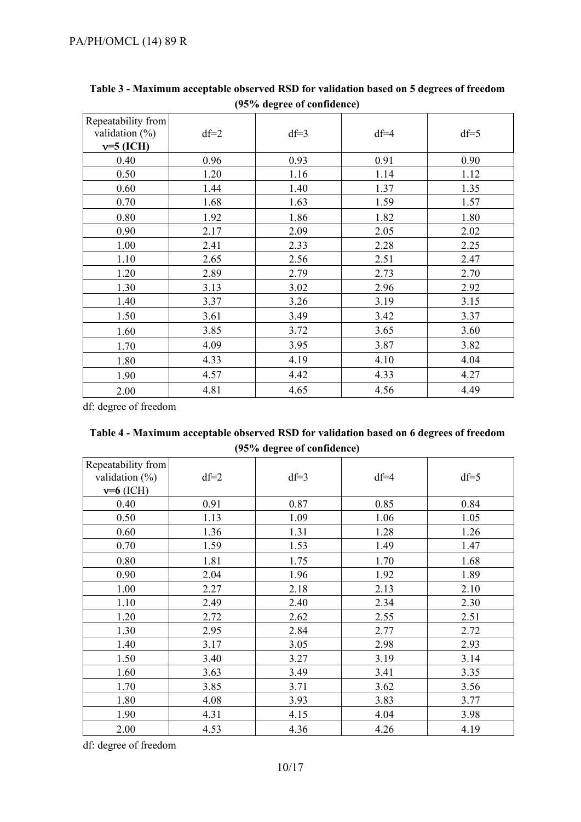| Repeatability from<br>validation $(\%)$<br>$v=5$ (ICH) | $df=2$ | $df=3$ | $df=4$ | $df=5$ |
|--------------------------------------------------------|--------|--------|--------|--------|
| 0.40                                                   | 0.96   | 0.93   | 0.91   | 0.90   |
| 0.50                                                   | 1.20   | 1.16   | 1.14   | 1.12   |
| 0.60                                                   | 1.44   | 1.40   | 1.37   | 1.35   |
| 0.70                                                   | 1.68   | 1.63   | 1.59   | 1.57   |
| 0.80                                                   | 1.92   | 1.86   | 1.82   | 1.80   |
| 0.90                                                   | 2.17   | 2.09   | 2.05   | 2.02   |
| 1.00                                                   | 2.41   | 2.33   | 2.28   | 2.25   |
| 1.10                                                   | 2.65   | 2.56   | 2.51   | 2.47   |
| 1.20                                                   | 2.89   | 2.79   | 2.73   | 2.70   |
| 1.30                                                   | 3.13   | 3.02   | 2.96   | 2.92   |
| 1.40                                                   | 3.37   | 3.26   | 3.19   | 3.15   |
| 1.50                                                   | 3.61   | 3.49   | 3.42   | 3.37   |
| 1.60                                                   | 3.85   | 3.72   | 3.65   | 3.60   |
| 1.70                                                   | 4.09   | 3.95   | 3.87   | 3.82   |
| 1.80                                                   | 4.33   | 4.19   | 4.10   | 4.04   |
| 1.90                                                   | 4.57   | 4.42   | 4.33   | 4.27   |
| 2.00                                                   | 4.81   | 4.65   | 4.56   | 4.49   |

**Table 3 - Maximum acceptable observed RSD for validation based on 5 degrees of freedom (95% degree of confidence)** 

df: degree of freedom

| Table 4 - Maximum acceptable observed RSD for validation based on 6 degrees of freedom |                            |  |  |
|----------------------------------------------------------------------------------------|----------------------------|--|--|
|                                                                                        | (95% degree of confidence) |  |  |

| Repeatability from<br>validation $(\%)$<br>$v=6$ (ICH) | $df=2$ | $df=3$ | $df=4$ | $df=5$ |
|--------------------------------------------------------|--------|--------|--------|--------|
| 0.40                                                   | 0.91   | 0.87   | 0.85   | 0.84   |
| 0.50                                                   | 1.13   | 1.09   | 1.06   | 1.05   |
| 0.60                                                   | 1.36   | 1.31   | 1.28   | 1.26   |
| 0.70                                                   | 1.59   | 1.53   | 1.49   | 1.47   |
| 0.80                                                   | 1.81   | 1.75   | 1.70   | 1.68   |
| 0.90                                                   | 2.04   | 1.96   | 1.92   | 1.89   |
| 1.00                                                   | 2.27   | 2.18   | 2.13   | 2.10   |
| 1.10                                                   | 2.49   | 2.40   | 2.34   | 2.30   |
| 1.20                                                   | 2.72   | 2.62   | 2.55   | 2.51   |
| 1.30                                                   | 2.95   | 2.84   | 2.77   | 2.72   |
| 1.40                                                   | 3.17   | 3.05   | 2.98   | 2.93   |
| 1.50                                                   | 3.40   | 3.27   | 3.19   | 3.14   |
| 1.60                                                   | 3.63   | 3.49   | 3.41   | 3.35   |
| 1.70                                                   | 3.85   | 3.71   | 3.62   | 3.56   |
| 1.80                                                   | 4.08   | 3.93   | 3.83   | 3.77   |
| 1.90                                                   | 4.31   | 4.15   | 4.04   | 3.98   |
| 2.00                                                   | 4.53   | 4.36   | 4.26   | 4.19   |

df: degree of freedom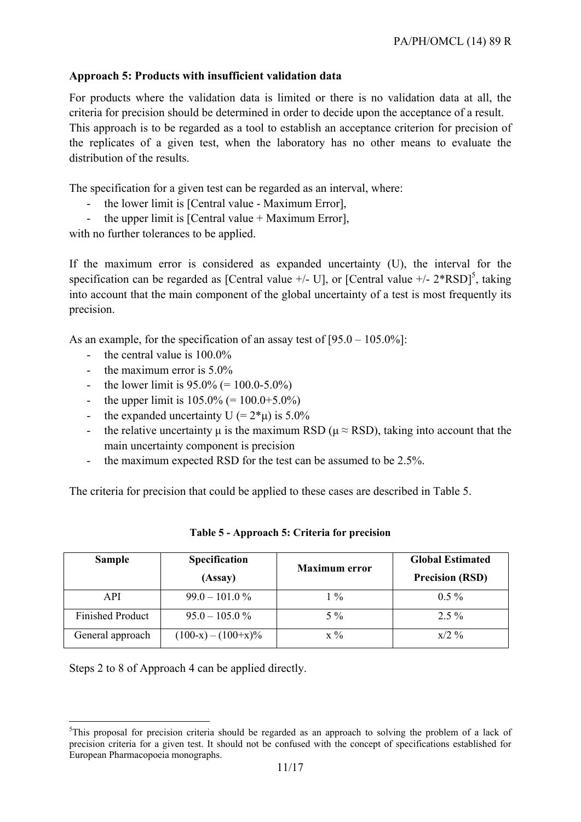#### **Approach 5: Products with insufficient validation data**

For products where the validation data is limited or there is no validation data at all, the criteria for precision should be determined in order to decide upon the acceptance of a result. This approach is to be regarded as a tool to establish an acceptance criterion for precision of the replicates of a given test, when the laboratory has no other means to evaluate the distribution of the results.

The specification for a given test can be regarded as an interval, where:

- the lower limit is [Central value Maximum Error],
- the upper limit is  $[Central value + Maximum Error]$ ,

with no further tolerances to be applied.

If the maximum error is considered as expanded uncertainty (U), the interval for the specification can be regarded as [Central value  $+/-$  U], or [Central value  $+/-$  2\*RSD]<sup>5</sup>, taking into account that the main component of the global uncertainty of a test is most frequently its precision.

As an example, for the specification of an assay test of [95.0 – 105.0%]:

- the central value is  $100.0\%$
- the maximum error is  $5.0\%$
- the lower limit is  $95.0\%$  (= 100.0-5.0%)
- the upper limit is  $105.0\%$  (=  $100.0+5.0\%$ )
- the expanded uncertainty U (=  $2*\mu$ ) is 5.0%
- the relative uncertainty  $\mu$  is the maximum RSD ( $\mu \approx$  RSD), taking into account that the main uncertainty component is precision
- the maximum expected RSD for the test can be assumed to be 2.5%.

The criteria for precision that could be applied to these cases are described in Table 5.

| <b>Sample</b>           | Specification         | <b>Maximum</b> error | <b>Global Estimated</b> |
|-------------------------|-----------------------|----------------------|-------------------------|
|                         | (Assay)               |                      | <b>Precision (RSD)</b>  |
| <b>API</b>              | $99.0 - 101.0 \%$     | $^{0}/_{0}$          | $0.5\%$                 |
| <b>Finished Product</b> | $95.0 - 105.0\%$      | $5\%$                | $2.5\%$                 |
| General approach        | $(100-x) - (100+x)\%$ | $\chi \frac{0}{6}$   | $x/2$ %                 |

#### **Table 5 - Approach 5: Criteria for precision**

Steps 2 to 8 of Approach 4 can be applied directly.

<sup>1</sup> <sup>5</sup>This proposal for precision criteria should be regarded as an approach to solving the problem of a lack of precision criteria for a given test. It should not be confused with the concept of specifications established for European Pharmacopoeia monographs.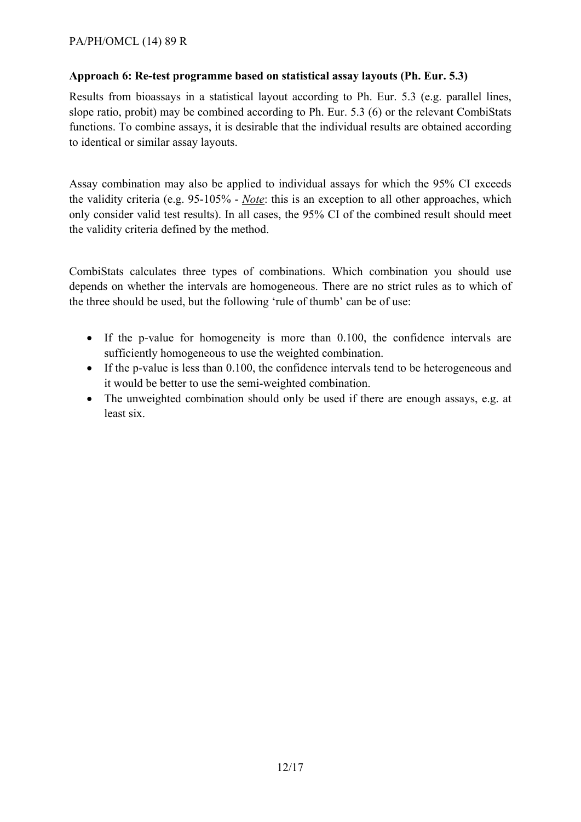#### **Approach 6: Re-test programme based on statistical assay layouts (Ph. Eur. 5.3)**

Results from bioassays in a statistical layout according to Ph. Eur. 5.3 (e.g. parallel lines, slope ratio, probit) may be combined according to Ph. Eur. 5.3 (6) or the relevant CombiStats functions. To combine assays, it is desirable that the individual results are obtained according to identical or similar assay layouts.

Assay combination may also be applied to individual assays for which the 95% CI exceeds the validity criteria (e.g. 95-105% - *Note*: this is an exception to all other approaches, which only consider valid test results). In all cases, the 95% CI of the combined result should meet the validity criteria defined by the method.

CombiStats calculates three types of combinations. Which combination you should use depends on whether the intervals are homogeneous. There are no strict rules as to which of the three should be used, but the following 'rule of thumb' can be of use:

- If the p-value for homogeneity is more than 0.100, the confidence intervals are sufficiently homogeneous to use the weighted combination.
- If the p-value is less than 0.100, the confidence intervals tend to be heterogeneous and it would be better to use the semi-weighted combination.
- The unweighted combination should only be used if there are enough assays, e.g. at least six.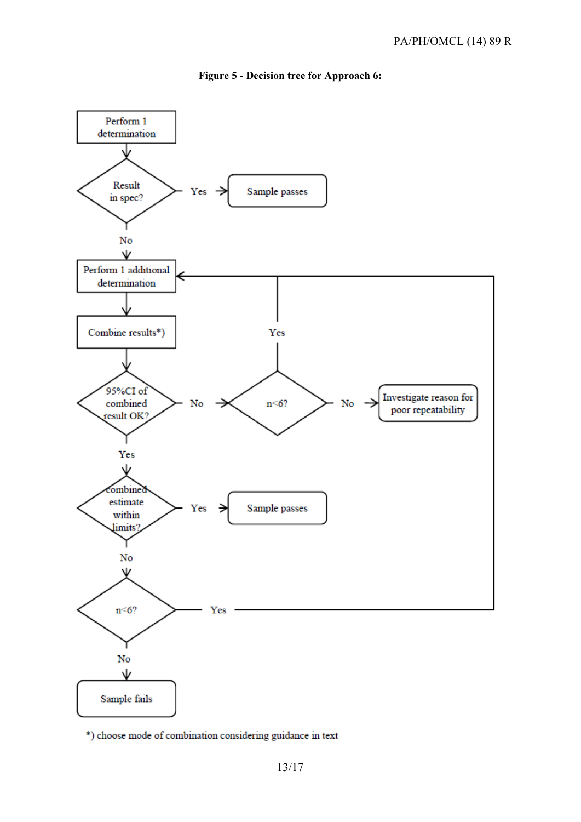

#### **Figure 5 - Decision tree for Approach 6:**

\*) choose mode of combination considering guidance in text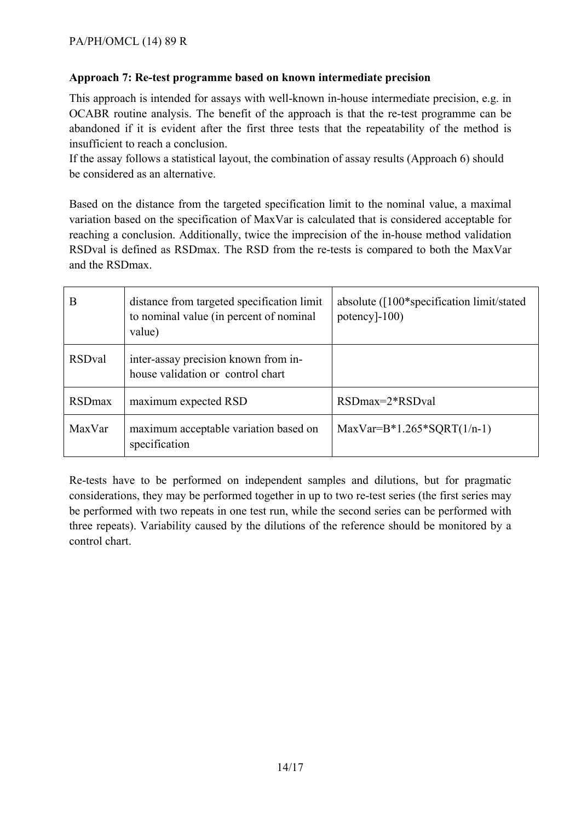#### **Approach 7: Re-test programme based on known intermediate precision**

This approach is intended for assays with well-known in-house intermediate precision, e.g. in OCABR routine analysis. The benefit of the approach is that the re-test programme can be abandoned if it is evident after the first three tests that the repeatability of the method is insufficient to reach a conclusion.

If the assay follows a statistical layout, the combination of assay results (Approach 6) should be considered as an alternative.

Based on the distance from the targeted specification limit to the nominal value, a maximal variation based on the specification of MaxVar is calculated that is considered acceptable for reaching a conclusion. Additionally, twice the imprecision of the in-house method validation RSDval is defined as RSDmax. The RSD from the re-tests is compared to both the MaxVar and the RSDmax.

| B              | distance from targeted specification limit<br>to nominal value (in percent of nominal<br>value) | absolute $(100*specification limit/stated$<br>potency $]-100$ |
|----------------|-------------------------------------------------------------------------------------------------|---------------------------------------------------------------|
| <b>RSDval</b>  | inter-assay precision known from in-<br>house validation or control chart                       |                                                               |
| <b>RSD</b> max | maximum expected RSD                                                                            | $RSDmax=2*RSDval$                                             |
| MaxVar         | maximum acceptable variation based on<br>specification                                          | $MaxVar=B*1.265*SQRT(1/n-1)$                                  |

Re-tests have to be performed on independent samples and dilutions, but for pragmatic considerations, they may be performed together in up to two re-test series (the first series may be performed with two repeats in one test run, while the second series can be performed with three repeats). Variability caused by the dilutions of the reference should be monitored by a control chart.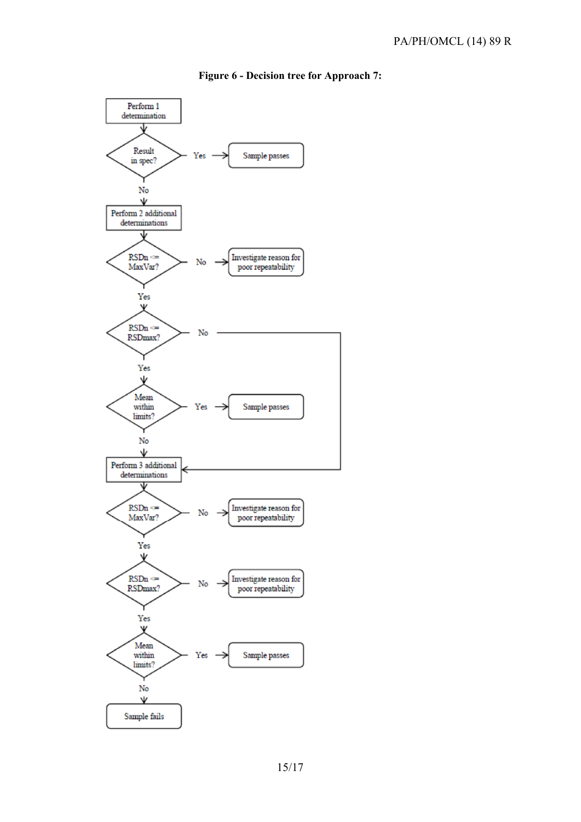#### Perform 1 determination Result Sample passes Yes in spec? No Ψ Perform 2 additional determinations  $RSDn \approx$ Investigate reason for No MaxVar? poor repeatability Yes Ψ  $RSDn \approx$ No RSDmax? Yes Ψ Mean within Sample passes Yes limits? No Ψ Perform 3 additional determinations  $RSDn \approx$ Investigate reason for No MaxVar? poor repeatability Yes Ψ  $RSDn \approx$ Investigate reason for No RSDmax? poor repeatability Yes Ψ Mean Sample passes within Yes limits? No V Sample fails

#### **Figure 6 - Decision tree for Approach 7:**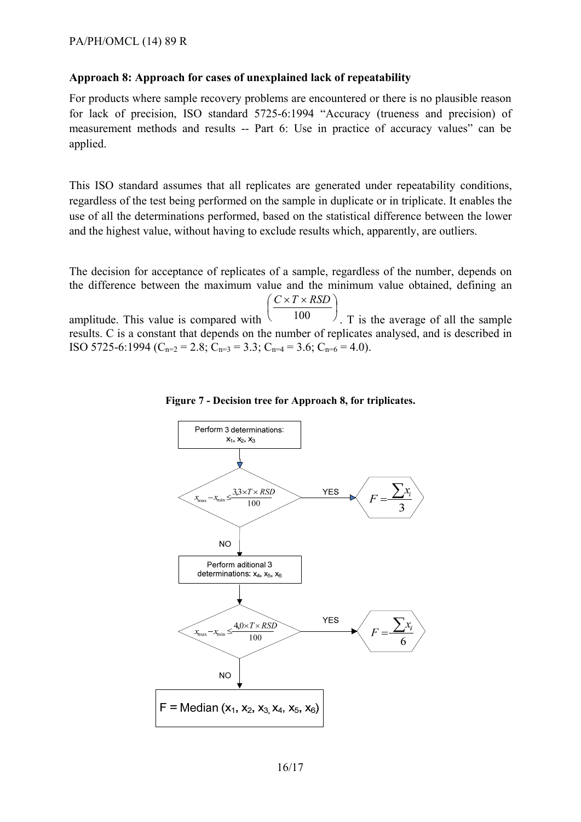#### **Approach 8: Approach for cases of unexplained lack of repeatability**

For products where sample recovery problems are encountered or there is no plausible reason for lack of precision, ISO standard 5725-6:1994 "Accuracy (trueness and precision) of measurement methods and results -- Part 6: Use in practice of accuracy values" can be applied.

This ISO standard assumes that all replicates are generated under repeatability conditions, regardless of the test being performed on the sample in duplicate or in triplicate. It enables the use of all the determinations performed, based on the statistical difference between the lower and the highest value, without having to exclude results which, apparently, are outliers.

The decision for acceptance of replicates of a sample, regardless of the number, depends on the difference between the maximum value and the minimum value obtained, defining an

amplitude. This value is compared with  $\bigg)$  $\left(\frac{C \times T \times RSD}{100}\right)$ l  $\int C \times T \times$ 100  $C \times T \times RSD$ . T is the average of all the sample results. C is a constant that depends on the number of replicates analysed, and is described in ISO 5725-6:1994 ( $C_{n=2}$  = 2.8;  $C_{n=3}$  = 3.3;  $C_{n=4}$  = 3.6;  $C_{n=6}$  = 4.0).



**Figure 7 - Decision tree for Approach 8, for triplicates.**